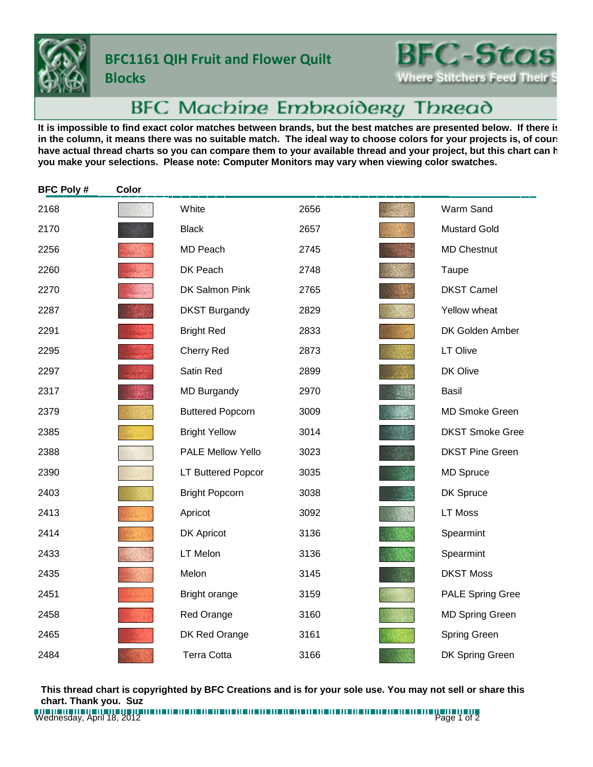

**Blocks**

## **BFC1161 QIH Fruit and Flower Quilt**

**BFC-Stas Where Stitchers Feed Their** 

## BFC Machine Embroidery Thread

It is impossible to find exact color matches between brands, but the best matches are presented below. If there is in the column, it means there was no suitable match. The ideal way to choose colors for your projects is, of court have actual thread charts so you can compare them to your available thread and your project, but this chart can h **you make your selections. Please note: Computer Monitors may vary when viewing color swatches.**

| <b>BFC Poly#</b> | Color |                         |      |                         |
|------------------|-------|-------------------------|------|-------------------------|
| 2168             |       | White                   | 2656 | Warm Sand               |
| 2170             |       | <b>Black</b>            | 2657 | <b>Mustard Gold</b>     |
| 2256             |       | MD Peach                | 2745 | <b>MD Chestnut</b>      |
| 2260             |       | DK Peach                | 2748 | Taupe                   |
| 2270             |       | DK Salmon Pink          | 2765 | <b>DKST Camel</b>       |
| 2287             |       | <b>DKST Burgandy</b>    | 2829 | Yellow wheat            |
| 2291             |       | <b>Bright Red</b>       | 2833 | DK Golden Amber         |
| 2295             |       | Cherry Red              | 2873 | LT Olive                |
| 2297             |       | Satin Red               | 2899 | DK Olive                |
| 2317             |       | <b>MD Burgandy</b>      | 2970 | <b>Basil</b>            |
| 2379             |       | <b>Buttered Popcorn</b> | 3009 | <b>MD Smoke Green</b>   |
| 2385             |       | <b>Bright Yellow</b>    | 3014 | <b>DKST Smoke Gree</b>  |
| 2388             |       | PALE Mellow Yello       | 3023 | <b>DKST Pine Green</b>  |
| 2390             |       | LT Buttered Popcor      | 3035 | <b>MD Spruce</b>        |
| 2403             |       | <b>Bright Popcorn</b>   | 3038 | DK Spruce               |
| 2413             |       | Apricot                 | 3092 | <b>LT Moss</b>          |
| 2414             |       | DK Apricot              | 3136 | Spearmint               |
| 2433             |       | LT Melon                | 3136 | Spearmint               |
| 2435             |       | Melon                   | 3145 | <b>DKST Moss</b>        |
| 2451             |       | Bright orange           | 3159 | <b>PALE Spring Gree</b> |
| 2458             |       | <b>Red Orange</b>       | 3160 | <b>MD Spring Green</b>  |
| 2465             |       | DK Red Orange           | 3161 | Spring Green            |
| 2484             |       | <b>Terra Cotta</b>      | 3166 | DK Spring Green         |

**This thread chart is copyrighted by BFC Creations and is for your sole use. You may not sell or share this chart. Thank you. Suz**